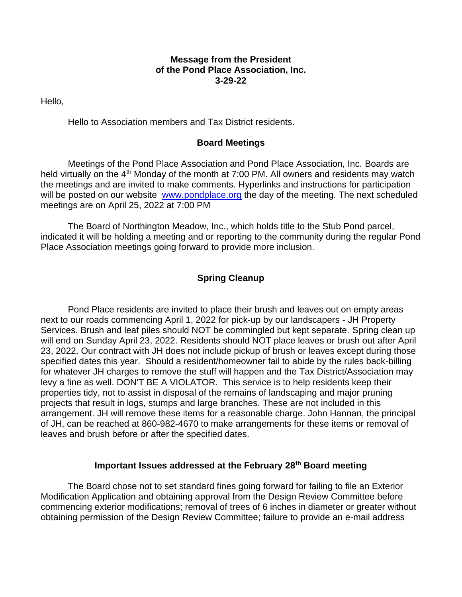### **Message from the President of the Pond Place Association, Inc. 3-29-22**

Hello,

Hello to Association members and Tax District residents.

# **Board Meetings**

Meetings of the Pond Place Association and Pond Place Association, Inc. Boards are held virtually on the 4<sup>th</sup> Monday of the month at 7:00 PM. All owners and residents may watch the meetings and are invited to make comments. Hyperlinks and instructions for participation will be posted on our website [www.pondplace.org](http://www.pondplace.org/) the day of the meeting. The next scheduled meetings are on April 25, 2022 at 7:00 PM

The Board of Northington Meadow, Inc., which holds title to the Stub Pond parcel, indicated it will be holding a meeting and or reporting to the community during the regular Pond Place Association meetings going forward to provide more inclusion.

# **Spring Cleanup**

Pond Place residents are invited to place their brush and leaves out on empty areas next to our roads commencing April 1, 2022 for pick-up by our landscapers - JH Property Services. Brush and leaf piles should NOT be commingled but kept separate. Spring clean up will end on Sunday April 23, 2022. Residents should NOT place leaves or brush out after April 23, 2022. Our contract with JH does not include pickup of brush or leaves except during those specified dates this year. Should a resident/homeowner fail to abide by the rules back-billing for whatever JH charges to remove the stuff will happen and the Tax District/Association may levy a fine as well. DON'T BE A VIOLATOR. This service is to help residents keep their properties tidy, not to assist in disposal of the remains of landscaping and major pruning projects that result in logs, stumps and large branches. These are not included in this arrangement. JH will remove these items for a reasonable charge. John Hannan, the principal of JH, can be reached at 860-982-4670 to make arrangements for these items or removal of leaves and brush before or after the specified dates.

# **Important Issues addressed at the February 28th Board meeting**

The Board chose not to set standard fines going forward for failing to file an Exterior Modification Application and obtaining approval from the Design Review Committee before commencing exterior modifications; removal of trees of 6 inches in diameter or greater without obtaining permission of the Design Review Committee; failure to provide an e-mail address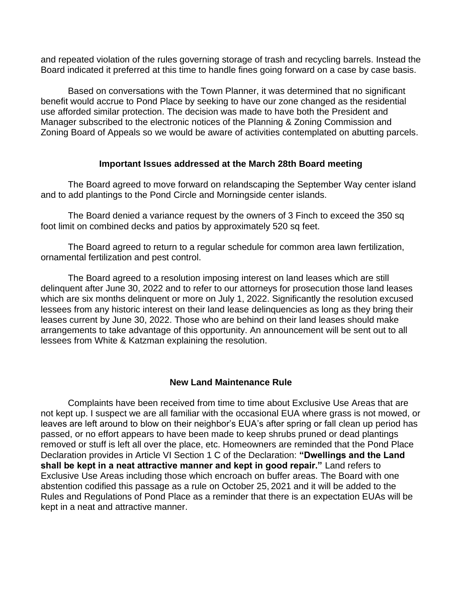and repeated violation of the rules governing storage of trash and recycling barrels. Instead the Board indicated it preferred at this time to handle fines going forward on a case by case basis.

Based on conversations with the Town Planner, it was determined that no significant benefit would accrue to Pond Place by seeking to have our zone changed as the residential use afforded similar protection. The decision was made to have both the President and Manager subscribed to the electronic notices of the Planning & Zoning Commission and Zoning Board of Appeals so we would be aware of activities contemplated on abutting parcels.

### **Important Issues addressed at the March 28th Board meeting**

The Board agreed to move forward on relandscaping the September Way center island and to add plantings to the Pond Circle and Morningside center islands.

The Board denied a variance request by the owners of 3 Finch to exceed the 350 sq foot limit on combined decks and patios by approximately 520 sq feet.

The Board agreed to return to a regular schedule for common area lawn fertilization, ornamental fertilization and pest control.

The Board agreed to a resolution imposing interest on land leases which are still delinquent after June 30, 2022 and to refer to our attorneys for prosecution those land leases which are six months delinquent or more on July 1, 2022. Significantly the resolution excused lessees from any historic interest on their land lease delinquencies as long as they bring their leases current by June 30, 2022. Those who are behind on their land leases should make arrangements to take advantage of this opportunity. An announcement will be sent out to all lessees from White & Katzman explaining the resolution.

# **New Land Maintenance Rule**

Complaints have been received from time to time about Exclusive Use Areas that are not kept up. I suspect we are all familiar with the occasional EUA where grass is not mowed, or leaves are left around to blow on their neighbor's EUA's after spring or fall clean up period has passed, or no effort appears to have been made to keep shrubs pruned or dead plantings removed or stuff is left all over the place, etc. Homeowners are reminded that the Pond Place Declaration provides in Article VI Section 1 C of the Declaration: **"Dwellings and the Land shall be kept in a neat attractive manner and kept in good repair."** Land refers to Exclusive Use Areas including those which encroach on buffer areas. The Board with one abstention codified this passage as a rule on October 25, 2021 and it will be added to the Rules and Regulations of Pond Place as a reminder that there is an expectation EUAs will be kept in a neat and attractive manner.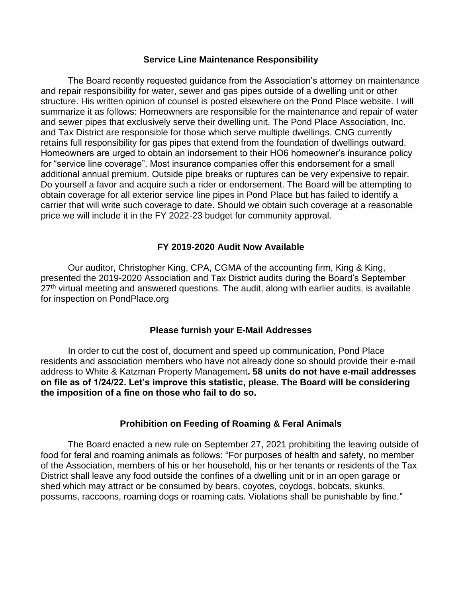#### **Service Line Maintenance Responsibility**

The Board recently requested guidance from the Association's attorney on maintenance and repair responsibility for water, sewer and gas pipes outside of a dwelling unit or other structure. His written opinion of counsel is posted elsewhere on the Pond Place website. I will summarize it as follows: Homeowners are responsible for the maintenance and repair of water and sewer pipes that exclusively serve their dwelling unit. The Pond Place Association, Inc. and Tax District are responsible for those which serve multiple dwellings. CNG currently retains full responsibility for gas pipes that extend from the foundation of dwellings outward. Homeowners are urged to obtain an indorsement to their HO6 homeowner's insurance policy for "service line coverage". Most insurance companies offer this endorsement for a small additional annual premium. Outside pipe breaks or ruptures can be very expensive to repair. Do yourself a favor and acquire such a rider or endorsement. The Board will be attempting to obtain coverage for all exterior service line pipes in Pond Place but has failed to identify a carrier that will write such coverage to date. Should we obtain such coverage at a reasonable price we will include it in the FY 2022-23 budget for community approval.

# **FY 2019-2020 Audit Now Available**

Our auditor, Christopher King, CPA, CGMA of the accounting firm, King & King, presented the 2019-2020 Association and Tax District audits during the Board's September  $27<sup>th</sup>$  virtual meeting and answered questions. The audit, along with earlier audits, is available for inspection on PondPlace.org

# **Please furnish your E-Mail Addresses**

In order to cut the cost of, document and speed up communication, Pond Place residents and association members who have not already done so should provide their e-mail address to White & Katzman Property Management**. 58 units do not have e-mail addresses on file as of 1/24/22. Let's improve this statistic, please. The Board will be considering the imposition of a fine on those who fail to do so.**

# **Prohibition on Feeding of Roaming & Feral Animals**

The Board enacted a new rule on September 27, 2021 prohibiting the leaving outside of food for feral and roaming animals as follows: "For purposes of health and safety, no member of the Association, members of his or her household, his or her tenants or residents of the Tax District shall leave any food outside the confines of a dwelling unit or in an open garage or shed which may attract or be consumed by bears, coyotes, coydogs, bobcats, skunks, possums, raccoons, roaming dogs or roaming cats. Violations shall be punishable by fine."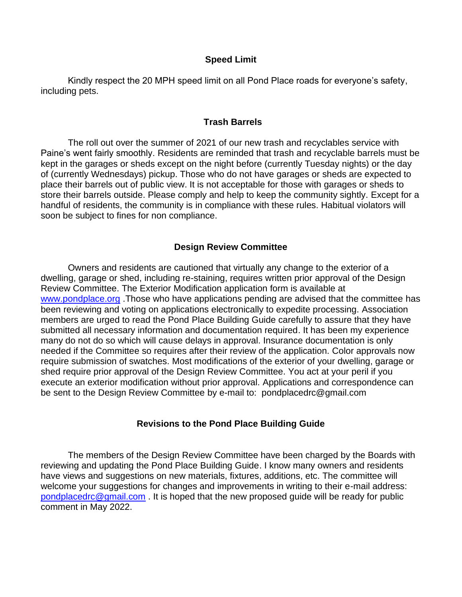### **Speed Limit**

Kindly respect the 20 MPH speed limit on all Pond Place roads for everyone's safety, including pets.

### **Trash Barrels**

The roll out over the summer of 2021 of our new trash and recyclables service with Paine's went fairly smoothly. Residents are reminded that trash and recyclable barrels must be kept in the garages or sheds except on the night before (currently Tuesday nights) or the day of (currently Wednesdays) pickup. Those who do not have garages or sheds are expected to place their barrels out of public view. It is not acceptable for those with garages or sheds to store their barrels outside. Please comply and help to keep the community sightly. Except for a handful of residents, the community is in compliance with these rules. Habitual violators will soon be subject to fines for non compliance.

### **Design Review Committee**

Owners and residents are cautioned that virtually any change to the exterior of a dwelling, garage or shed, including re-staining, requires written prior approval of the Design Review Committee. The Exterior Modification application form is available at [www.pondplace.org](http://www.pondplace.org/) . Those who have applications pending are advised that the committee has been reviewing and voting on applications electronically to expedite processing. Association members are urged to read the Pond Place Building Guide carefully to assure that they have submitted all necessary information and documentation required. It has been my experience many do not do so which will cause delays in approval. Insurance documentation is only needed if the Committee so requires after their review of the application. Color approvals now require submission of swatches. Most modifications of the exterior of your dwelling, garage or shed require prior approval of the Design Review Committee. You act at your peril if you execute an exterior modification without prior approval. Applications and correspondence can be sent to the Design Review Committee by e-mail to: pondplacedrc@gmail.com

#### **Revisions to the Pond Place Building Guide**

The members of the Design Review Committee have been charged by the Boards with reviewing and updating the Pond Place Building Guide. I know many owners and residents have views and suggestions on new materials, fixtures, additions, etc. The committee will welcome your suggestions for changes and improvements in writing to their e-mail address: [pondplacedrc@gmail.com](mailto:pondplacedrc@gmail.com). It is hoped that the new proposed guide will be ready for public comment in May 2022.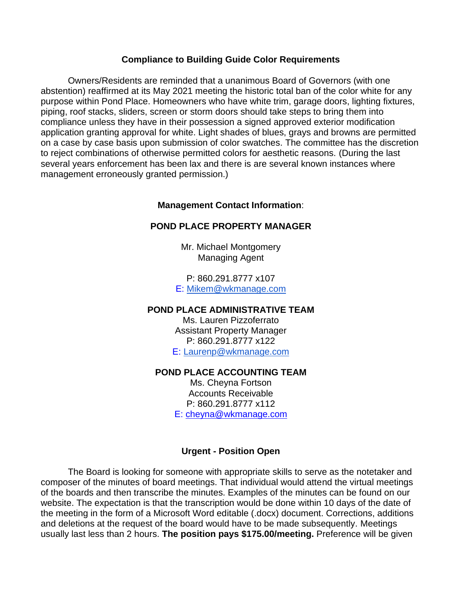#### **Compliance to Building Guide Color Requirements**

Owners/Residents are reminded that a unanimous Board of Governors (with one abstention) reaffirmed at its May 2021 meeting the historic total ban of the color white for any purpose within Pond Place. Homeowners who have white trim, garage doors, lighting fixtures, piping, roof stacks, sliders, screen or storm doors should take steps to bring them into compliance unless they have in their possession a signed approved exterior modification application granting approval for white. Light shades of blues, grays and browns are permitted on a case by case basis upon submission of color swatches. The committee has the discretion to reject combinations of otherwise permitted colors for aesthetic reasons. (During the last several years enforcement has been lax and there is are several known instances where management erroneously granted permission.)

# **Management Contact Information**:

### **POND PLACE PROPERTY MANAGER**

Mr. Michael Montgomery Managing Agent

P: 860.291.8777 x107 E: [Mikem@wkmanage.com](mailto:Mikem@wkmanage.com)

#### **POND PLACE ADMINISTRATIVE TEAM**

Ms. Lauren Pizzoferrato Assistant Property Manager P: 860.291.8777 x122 E: [Laurenp@wkmanage.com](mailto:Laurenp@wkmanage.com)

# **POND PLACE ACCOUNTING TEAM**

Ms. Cheyna Fortson Accounts Receivable P: 860.291.8777 x112 E: [cheyna@wkmanage.com](mailto:cheyna@wkmanage.com)

# **Urgent - Position Open**

The Board is looking for someone with appropriate skills to serve as the notetaker and composer of the minutes of board meetings. That individual would attend the virtual meetings of the boards and then transcribe the minutes. Examples of the minutes can be found on our website. The expectation is that the transcription would be done within 10 days of the date of the meeting in the form of a Microsoft Word editable (.docx) document. Corrections, additions and deletions at the request of the board would have to be made subsequently. Meetings usually last less than 2 hours. **The position pays \$175.00/meeting.** Preference will be given